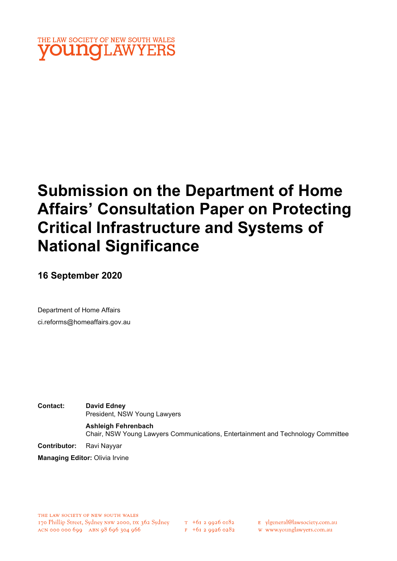

# Submission on the Department of Home Affairs' Consultation Paper on Protecting Critical Infrastructure and Systems of National Significance

16 September 2020

Department of Home Affairs ci.reforms@homeaffairs.gov.au

Contact: David Edney President, NSW Young Lawyers Ashleigh Fehrenbach

Chair, NSW Young Lawyers Communications, Entertainment and Technology Committee

Contributor: Ravi Nayyar

Managing Editor: Olivia Irvine

 $T_{+61}$  2 9926 0182  $F$  +61 2 9926 0282 E ylgeneral@lawsociety.com.au

w www.younglawyers.com.au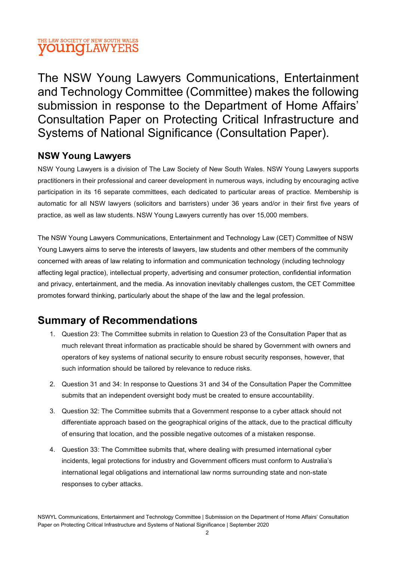The NSW Young Lawyers Communications, Entertainment and Technology Committee (Committee) makes the following submission in response to the Department of Home Affairs' Consultation Paper on Protecting Critical Infrastructure and Systems of National Significance (Consultation Paper).

## NSW Young Lawyers

NSW Young Lawyers is a division of The Law Society of New South Wales. NSW Young Lawyers supports practitioners in their professional and career development in numerous ways, including by encouraging active participation in its 16 separate committees, each dedicated to particular areas of practice. Membership is automatic for all NSW lawyers (solicitors and barristers) under 36 years and/or in their first five years of practice, as well as law students. NSW Young Lawyers currently has over 15,000 members.

The NSW Young Lawyers Communications, Entertainment and Technology Law (CET) Committee of NSW Young Lawyers aims to serve the interests of lawyers, law students and other members of the community concerned with areas of law relating to information and communication technology (including technology affecting legal practice), intellectual property, advertising and consumer protection, confidential information and privacy, entertainment, and the media. As innovation inevitably challenges custom, the CET Committee promotes forward thinking, particularly about the shape of the law and the legal profession.

# Summary of Recommendations

- 1. Question 23: The Committee submits in relation to Question 23 of the Consultation Paper that as much relevant threat information as practicable should be shared by Government with owners and operators of key systems of national security to ensure robust security responses, however, that such information should be tailored by relevance to reduce risks.
- 2. Question 31 and 34: In response to Questions 31 and 34 of the Consultation Paper the Committee submits that an independent oversight body must be created to ensure accountability.
- 3. Question 32: The Committee submits that a Government response to a cyber attack should not differentiate approach based on the geographical origins of the attack, due to the practical difficulty of ensuring that location, and the possible negative outcomes of a mistaken response.
- 4. Question 33: The Committee submits that, where dealing with presumed international cyber incidents, legal protections for industry and Government officers must conform to Australia's international legal obligations and international law norms surrounding state and non-state responses to cyber attacks.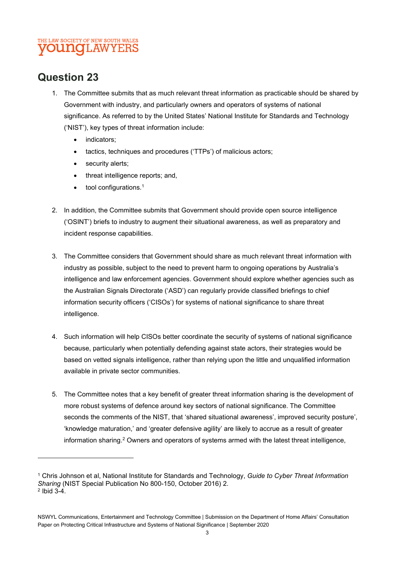# Question 23

- 1. The Committee submits that as much relevant threat information as practicable should be shared by Government with industry, and particularly owners and operators of systems of national significance. As referred to by the United States' National Institute for Standards and Technology ('NIST'), key types of threat information include:
	- indicators;
	- tactics, techniques and procedures ('TTPs') of malicious actors;
	- security alerts;
	- threat intelligence reports; and,
	- tool configurations.1
- 2. In addition, the Committee submits that Government should provide open source intelligence ('OSINT') briefs to industry to augment their situational awareness, as well as preparatory and incident response capabilities.
- 3. The Committee considers that Government should share as much relevant threat information with industry as possible, subject to the need to prevent harm to ongoing operations by Australia's intelligence and law enforcement agencies. Government should explore whether agencies such as the Australian Signals Directorate ('ASD') can regularly provide classified briefings to chief information security officers ('CISOs') for systems of national significance to share threat intelligence.
- 4. Such information will help CISOs better coordinate the security of systems of national significance because, particularly when potentially defending against state actors, their strategies would be based on vetted signals intelligence, rather than relying upon the little and unqualified information available in private sector communities.
- 5. The Committee notes that a key benefit of greater threat information sharing is the development of more robust systems of defence around key sectors of national significance. The Committee seconds the comments of the NIST, that 'shared situational awareness', improved security posture', 'knowledge maturation,' and 'greater defensive agility' are likely to accrue as a result of greater information sharing.<sup>2</sup> Owners and operators of systems armed with the latest threat intelligence,

<sup>&</sup>lt;sup>1</sup> Chris Johnson et al, National Institute for Standards and Technology, *Guide to Cyber Threat Information* Sharing (NIST Special Publication No 800-150, October 2016) 2. 2 Ibid 3-4.

NSWYL Communications, Entertainment and Technology Committee | Submission on the Department of Home Affairs' Consultation Paper on Protecting Critical Infrastructure and Systems of National Significance | September 2020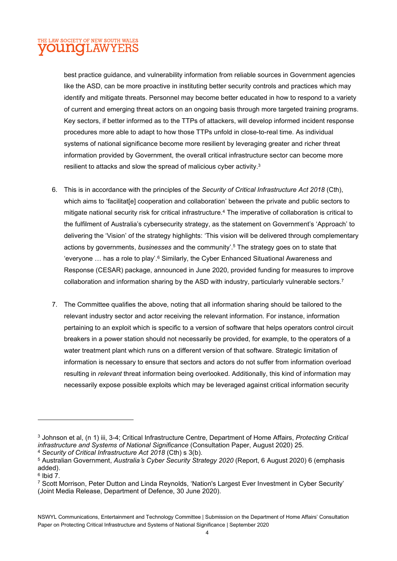best practice guidance, and vulnerability information from reliable sources in Government agencies like the ASD, can be more proactive in instituting better security controls and practices which may identify and mitigate threats. Personnel may become better educated in how to respond to a variety of current and emerging threat actors on an ongoing basis through more targeted training programs. Key sectors, if better informed as to the TTPs of attackers, will develop informed incident response procedures more able to adapt to how those TTPs unfold in close-to-real time. As individual systems of national significance become more resilient by leveraging greater and richer threat information provided by Government, the overall critical infrastructure sector can become more resilient to attacks and slow the spread of malicious cyber activity.<sup>3</sup>

- 6. This is in accordance with the principles of the Security of Critical Infrastructure Act 2018 (Cth), which aims to 'facilitat[e] cooperation and collaboration' between the private and public sectors to mitigate national security risk for critical infrastructure.<sup>4</sup> The imperative of collaboration is critical to the fulfilment of Australia's cybersecurity strategy, as the statement on Government's 'Approach' to delivering the 'Vision' of the strategy highlights: 'This vision will be delivered through complementary actions by governments, businesses and the community'.<sup>5</sup> The strategy goes on to state that 'everyone ... has a role to play'.<sup>6</sup> Similarly, the Cyber Enhanced Situational Awareness and Response (CESAR) package, announced in June 2020, provided funding for measures to improve collaboration and information sharing by the ASD with industry, particularly vulnerable sectors.<sup>7</sup>
- 7. The Committee qualifies the above, noting that all information sharing should be tailored to the relevant industry sector and actor receiving the relevant information. For instance, information pertaining to an exploit which is specific to a version of software that helps operators control circuit breakers in a power station should not necessarily be provided, for example, to the operators of a water treatment plant which runs on a different version of that software. Strategic limitation of information is necessary to ensure that sectors and actors do not suffer from information overload resulting in relevant threat information being overlooked. Additionally, this kind of information may necessarily expose possible exploits which may be leveraged against critical information security

<sup>&</sup>lt;sup>3</sup> Johnson et al, (n 1) iii, 3-4; Critical Infrastructure Centre, Department of Home Affairs, *Protecting Critical* infrastructure and Systems of National Significance (Consultation Paper, August 2020) 25. <sup>4</sup> Security of Critical Infrastructure Act 2018 (Cth) s 3(b).

<sup>&</sup>lt;sup>5</sup> Australian Government, *Australia's Cyber Security Strategy 2020* (Report, 6 August 2020) 6 (emphasis added).

 $6$  Ibid 7.

<sup>7</sup> Scott Morrison, Peter Dutton and Linda Reynolds, 'Nation's Largest Ever Investment in Cyber Security' (Joint Media Release, Department of Defence, 30 June 2020).

NSWYL Communications, Entertainment and Technology Committee | Submission on the Department of Home Affairs' Consultation Paper on Protecting Critical Infrastructure and Systems of National Significance | September 2020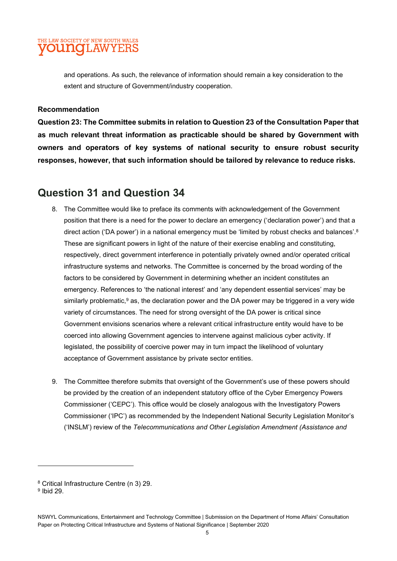and operations. As such, the relevance of information should remain a key consideration to the extent and structure of Government/industry cooperation.

#### Recommendation

Question 23: The Committee submits in relation to Question 23 of the Consultation Paper that as much relevant threat information as practicable should be shared by Government with owners and operators of key systems of national security to ensure robust security responses, however, that such information should be tailored by relevance to reduce risks.

# Question 31 and Question 34

- 8. The Committee would like to preface its comments with acknowledgement of the Government position that there is a need for the power to declare an emergency ('declaration power') and that a direct action ('DA power') in a national emergency must be 'limited by robust checks and balances'.<sup>8</sup> These are significant powers in light of the nature of their exercise enabling and constituting, respectively, direct government interference in potentially privately owned and/or operated critical infrastructure systems and networks. The Committee is concerned by the broad wording of the factors to be considered by Government in determining whether an incident constitutes an emergency. References to 'the national interest' and 'any dependent essential services' may be similarly problematic,<sup>9</sup> as, the declaration power and the DA power may be triggered in a very wide variety of circumstances. The need for strong oversight of the DA power is critical since Government envisions scenarios where a relevant critical infrastructure entity would have to be coerced into allowing Government agencies to intervene against malicious cyber activity. If legislated, the possibility of coercive power may in turn impact the likelihood of voluntary acceptance of Government assistance by private sector entities.
- 9. The Committee therefore submits that oversight of the Government's use of these powers should be provided by the creation of an independent statutory office of the Cyber Emergency Powers Commissioner ('CEPC'). This office would be closely analogous with the Investigatory Powers Commissioner ('IPC') as recommended by the Independent National Security Legislation Monitor's ('INSLM') review of the Telecommunications and Other Legislation Amendment (Assistance and

<sup>8</sup> Critical Infrastructure Centre (n 3) 29.

 $9$  Ibid 29.

NSWYL Communications, Entertainment and Technology Committee | Submission on the Department of Home Affairs' Consultation Paper on Protecting Critical Infrastructure and Systems of National Significance | September 2020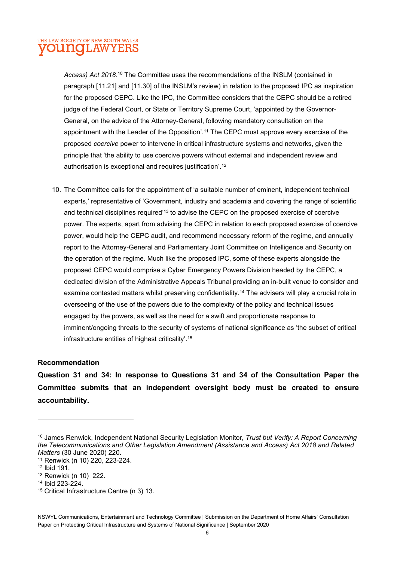Access) Act 2018.<sup>10</sup> The Committee uses the recommendations of the INSLM (contained in paragraph [11.21] and [11.30] of the INSLM's review) in relation to the proposed IPC as inspiration for the proposed CEPC. Like the IPC, the Committee considers that the CEPC should be a retired judge of the Federal Court, or State or Territory Supreme Court, 'appointed by the Governor-General, on the advice of the Attorney-General, following mandatory consultation on the appointment with the Leader of the Opposition'.<sup>11</sup> The CEPC must approve every exercise of the proposed coercive power to intervene in critical infrastructure systems and networks, given the principle that 'the ability to use coercive powers without external and independent review and authorisation is exceptional and requires justification'.<sup>12</sup>

10. The Committee calls for the appointment of 'a suitable number of eminent, independent technical experts,' representative of 'Government, industry and academia and covering the range of scientific and technical disciplines required'<sup>13</sup> to advise the CEPC on the proposed exercise of coercive power. The experts, apart from advising the CEPC in relation to each proposed exercise of coercive power, would help the CEPC audit, and recommend necessary reform of the regime, and annually report to the Attorney-General and Parliamentary Joint Committee on Intelligence and Security on the operation of the regime. Much like the proposed IPC, some of these experts alongside the proposed CEPC would comprise a Cyber Emergency Powers Division headed by the CEPC, a dedicated division of the Administrative Appeals Tribunal providing an in-built venue to consider and examine contested matters whilst preserving confidentiality.<sup>14</sup> The advisers will play a crucial role in overseeing of the use of the powers due to the complexity of the policy and technical issues engaged by the powers, as well as the need for a swift and proportionate response to imminent/ongoing threats to the security of systems of national significance as 'the subset of critical infrastructure entities of highest criticality'.<sup>15</sup>

#### Recommendation

Question 31 and 34: In response to Questions 31 and 34 of the Consultation Paper the Committee submits that an independent oversight body must be created to ensure accountability.

<sup>&</sup>lt;sup>10</sup> James Renwick, Independent National Security Legislation Monitor, Trust but Verify: A Report Concerning the Telecommunications and Other Legislation Amendment (Assistance and Access) Act 2018 and Related Matters (30 June 2020) 220.

<sup>11</sup> Renwick (n 10) 220, 223-224.

<sup>12</sup> Ibid 191.

<sup>13</sup> Renwick (n 10) 222.

<sup>14</sup> Ibid 223-224.

<sup>15</sup> Critical Infrastructure Centre (n 3) 13.

NSWYL Communications, Entertainment and Technology Committee | Submission on the Department of Home Affairs' Consultation Paper on Protecting Critical Infrastructure and Systems of National Significance | September 2020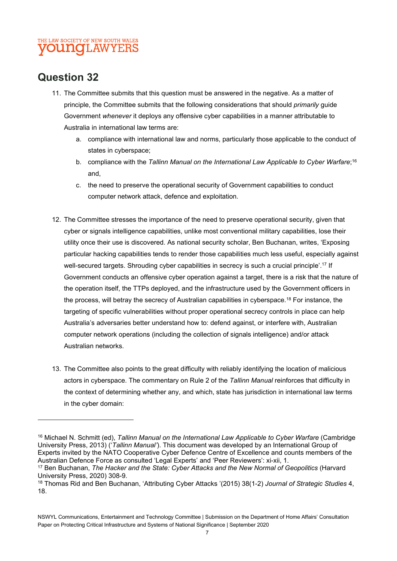## Question 32

- 11. The Committee submits that this question must be answered in the negative. As a matter of principle, the Committee submits that the following considerations that should *primarily* guide Government whenever it deploys any offensive cyber capabilities in a manner attributable to Australia in international law terms are:
	- a. compliance with international law and norms, particularly those applicable to the conduct of states in cyberspace;
	- b. compliance with the Tallinn Manual on the International Law Applicable to Cyber Warfare;<sup>16</sup> and,
	- c. the need to preserve the operational security of Government capabilities to conduct computer network attack, defence and exploitation.
- 12. The Committee stresses the importance of the need to preserve operational security, given that cyber or signals intelligence capabilities, unlike most conventional military capabilities, lose their utility once their use is discovered. As national security scholar, Ben Buchanan, writes, 'Exposing particular hacking capabilities tends to render those capabilities much less useful, especially against well-secured targets. Shrouding cyber capabilities in secrecy is such a crucial principle'.<sup>17</sup> If Government conducts an offensive cyber operation against a target, there is a risk that the nature of the operation itself, the TTPs deployed, and the infrastructure used by the Government officers in the process, will betray the secrecy of Australian capabilities in cyberspace.<sup>18</sup> For instance, the targeting of specific vulnerabilities without proper operational secrecy controls in place can help Australia's adversaries better understand how to: defend against, or interfere with, Australian computer network operations (including the collection of signals intelligence) and/or attack Australian networks.
- 13. The Committee also points to the great difficulty with reliably identifying the location of malicious actors in cyberspace. The commentary on Rule 2 of the Tallinn Manual reinforces that difficulty in the context of determining whether any, and which, state has jurisdiction in international law terms in the cyber domain:

<sup>&</sup>lt;sup>16</sup> Michael N. Schmitt (ed), Tallinn Manual on the International Law Applicable to Cyber Warfare (Cambridge University Press, 2013) ('Tallinn Manual'). This document was developed by an International Group of Experts invited by the NATO Cooperative Cyber Defence Centre of Excellence and counts members of the Australian Defence Force as consulted 'Legal Experts' and 'Peer Reviewers': xi-xii, 1.

<sup>&</sup>lt;sup>17</sup> Ben Buchanan, The Hacker and the State: Cyber Attacks and the New Normal of Geopolitics (Harvard University Press, 2020) 308-9.

<sup>18</sup> Thomas Rid and Ben Buchanan, 'Attributing Cyber Attacks '(2015) 38(1-2) Journal of Strategic Studies 4, 18.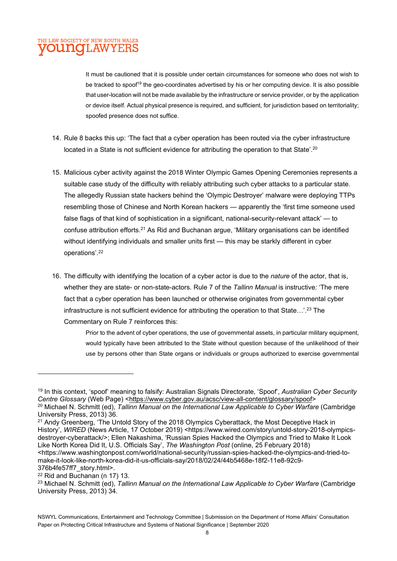It must be cautioned that it is possible under certain circumstances for someone who does not wish to be tracked to spoof<sup>19</sup> the geo-coordinates advertised by his or her computing device. It is also possible that user-location will not be made available by the infrastructure or service provider, or by the application or device itself. Actual physical presence is required, and sufficient, for jurisdiction based on territoriality; spoofed presence does not suffice.

- 14. Rule 8 backs this up: 'The fact that a cyber operation has been routed via the cyber infrastructure located in a State is not sufficient evidence for attributing the operation to that State'.<sup>20</sup>
- 15. Malicious cyber activity against the 2018 Winter Olympic Games Opening Ceremonies represents a suitable case study of the difficulty with reliably attributing such cyber attacks to a particular state. The allegedly Russian state hackers behind the 'Olympic Destroyer' malware were deploying TTPs resembling those of Chinese and North Korean hackers — apparently the 'first time someone used false flags of that kind of sophistication in a significant, national-security-relevant attack' — to confuse attribution efforts.<sup>21</sup> As Rid and Buchanan argue, 'Military organisations can be identified without identifying individuals and smaller units first — this may be starkly different in cyber operations'.<sup>22</sup>
- 16. The difficulty with identifying the location of a cyber actor is due to the nature of the actor, that is, whether they are state- or non-state-actors. Rule 7 of the Tallinn Manual is instructive: 'The mere fact that a cyber operation has been launched or otherwise originates from governmental cyber infrastructure is not sufficient evidence for attributing the operation to that State...'.<sup>23</sup> The Commentary on Rule 7 reinforces this:

Prior to the advent of cyber operations, the use of governmental assets, in particular military equipment, would typically have been attributed to the State without question because of the unlikelihood of their use by persons other than State organs or individuals or groups authorized to exercise governmental

22 Rid and Buchanan (n 17) 13.

<sup>&</sup>lt;sup>19</sup> In this context, 'spoof' meaning to falsify: Australian Signals Directorate, 'Spoof', Australian Cyber Security Centre Glossary (Web Page) <https://www.cyber.gov.au/acsc/view-all-content/glossary/spoof> <sup>20</sup> Michael N. Schmitt (ed), Tallinn Manual on the International Law Applicable to Cyber Warfare (Cambridge University Press, 2013) 36.

<sup>&</sup>lt;sup>21</sup> Andy Greenberg, 'The Untold Story of the 2018 Olympics Cyberattack, the Most Deceptive Hack in History', WIRED (News Article, 17 October 2019) <https://www.wired.com/story/untold-story-2018-olympicsdestroyer-cyberattack/>; Ellen Nakashima, 'Russian Spies Hacked the Olympics and Tried to Make It Look Like North Korea Did It, U.S. Officials Say', The Washington Post (online, 25 February 2018) <https://www.washingtonpost.com/world/national-security/russian-spies-hacked-the-olympics-and-tried-tomake-it-look-like-north-korea-did-it-us-officials-say/2018/02/24/44b5468e-18f2-11e8-92c9- 376b4fe57ff7\_story.html>.

<sup>&</sup>lt;sup>23</sup> Michael N. Schmitt (ed), Tallinn Manual on the International Law Applicable to Cyber Warfare (Cambridge University Press, 2013) 34.

NSWYL Communications, Entertainment and Technology Committee | Submission on the Department of Home Affairs' Consultation Paper on Protecting Critical Infrastructure and Systems of National Significance | September 2020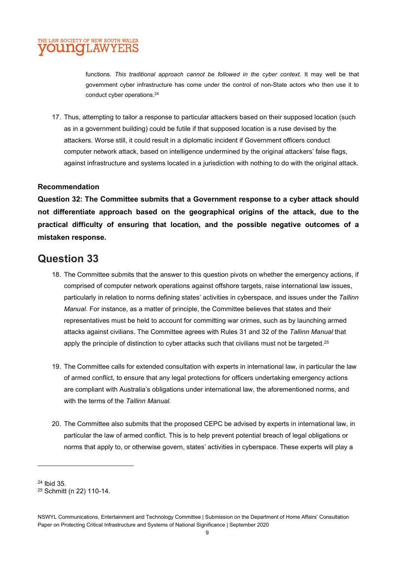

functions. This traditional approach cannot be followed in the cyber context. It may well be that government cyber infrastructure has come under the control of non-State actors who then use it to conduct cyber operations.<sup>24</sup>

17. Thus, attempting to tailor a response to particular attackers based on their supposed location (such as in a government building) could be futile if that supposed location is a ruse devised by the attackers. Worse still, it could result in a diplomatic incident if Government officers conduct computer network attack, based on intelligence undermined by the original attackers' false flags, against infrastructure and systems located in a jurisdiction with nothing to do with the original attack.

#### Recommendation

Question 32: The Committee submits that a Government response to a cyber attack should not differentiate approach based on the geographical origins of the attack, due to the practical difficulty of ensuring that location, and the possible negative outcomes of a mistaken response.

### Question 33

- 18. The Committee submits that the answer to this question pivots on whether the emergency actions, if comprised of computer network operations against offshore targets, raise international law issues, particularly in relation to norms defining states' activities in cyberspace, and issues under the Tallinn Manual. For instance, as a matter of principle, the Committee believes that states and their representatives must be held to account for committing war crimes, such as by launching armed attacks against civilians. The Committee agrees with Rules 31 and 32 of the Tallinn Manual that apply the principle of distinction to cyber attacks such that civilians must not be targeted.<sup>25</sup>
- 19. The Committee calls for extended consultation with experts in international law, in particular the law of armed conflict, to ensure that any legal protections for officers undertaking emergency actions are compliant with Australia's obligations under international law, the aforementioned norms, and with the terms of the Tallinn Manual
- 20. The Committee also submits that the proposed CEPC be advised by experts in international law, in particular the law of armed conflict. This is to help prevent potential breach of legal obligations or norms that apply to, or otherwise govern, states' activities in cyberspace. These experts will play a

<sup>24</sup> Ibid 35.

<sup>25</sup> Schmitt (n 22) 110-14.

NSWYL Communications, Entertainment and Technology Committee | Submission on the Department of Home Affairs' Consultation Paper on Protecting Critical Infrastructure and Systems of National Significance | September 2020